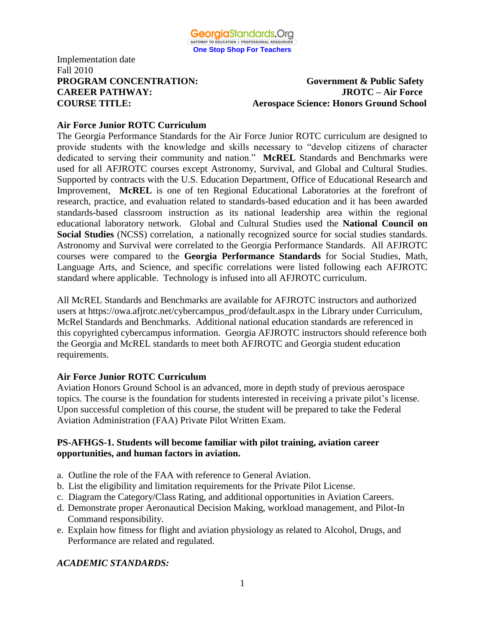

#### **PROGRAM CONCENTRATION: Government & Public Safety CAREER PATHWAY: JROTC – Air Force COURSE TITLE: Aerospace Science: Honors Ground School**

## **Air Force Junior ROTC Curriculum**

The Georgia Performance Standards for the Air Force Junior ROTC curriculum are designed to provide students with the knowledge and skills necessary to "develop citizens of character dedicated to serving their community and nation." **McREL** Standards and Benchmarks were used for all AFJROTC courses except Astronomy, Survival, and Global and Cultural Studies. Supported by contracts with the U.S. Education Department, Office of Educational Research and Improvement, **McREL** is one of ten Regional Educational Laboratories at the forefront of research, practice, and evaluation related to standards-based education and it has been awarded standards-based classroom instruction as its national leadership area within the regional educational laboratory network. Global and Cultural Studies used the **National Council on Social Studies** (NCSS) correlation, a nationally recognized source for social studies standards. Astronomy and Survival were correlated to the Georgia Performance Standards. All AFJROTC courses were compared to the **Georgia Performance Standards** for Social Studies, Math, Language Arts, and Science, and specific correlations were listed following each AFJROTC standard where applicable. Technology is infused into all AFJROTC curriculum.

All McREL Standards and Benchmarks are available for AFJROTC instructors and authorized users at https://owa.afjrotc.net/cybercampus\_prod/default.aspx in the Library under Curriculum, McRel Standards and Benchmarks. Additional national education standards are referenced in this copyrighted cybercampus information. Georgia AFJROTC instructors should reference both the Georgia and McREL standards to meet both AFJROTC and Georgia student education requirements.

## **Air Force Junior ROTC Curriculum**

Aviation Honors Ground School is an advanced, more in depth study of previous aerospace topics. The course is the foundation for students interested in receiving a private pilot's license. Upon successful completion of this course, the student will be prepared to take the Federal Aviation Administration (FAA) Private Pilot Written Exam.

## **PS-AFHGS-1. Students will become familiar with pilot training, aviation career opportunities, and human factors in aviation.**

- a. Outline the role of the FAA with reference to General Aviation.
- b. List the eligibility and limitation requirements for the Private Pilot License.
- c. Diagram the Category/Class Rating, and additional opportunities in Aviation Careers.
- d. Demonstrate proper Aeronautical Decision Making, workload management, and Pilot-In Command responsibility.
- e. Explain how fitness for flight and aviation physiology as related to Alcohol, Drugs, and Performance are related and regulated.

## *ACADEMIC STANDARDS:*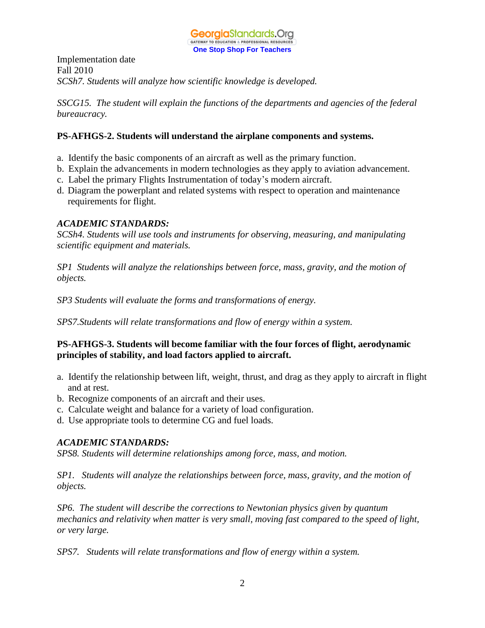

Implementation date Fall 2010 *SCSh7. Students will analyze how scientific knowledge is developed.*

*SSCG15. The student will explain the functions of the departments and agencies of the federal bureaucracy.*

## **PS-AFHGS-2. Students will understand the airplane components and systems.**

- a. Identify the basic components of an aircraft as well as the primary function.
- b. Explain the advancements in modern technologies as they apply to aviation advancement.
- c. Label the primary Flights Instrumentation of today's modern aircraft.
- d. Diagram the powerplant and related systems with respect to operation and maintenance requirements for flight.

#### *ACADEMIC STANDARDS:*

*SCSh4. Students will use tools and instruments for observing, measuring, and manipulating scientific equipment and materials.*

*SP1 Students will analyze the relationships between force, mass, gravity, and the motion of objects.*

*SP3 Students will evaluate the forms and transformations of energy.*

*SPS7.Students will relate transformations and flow of energy within a system.*

## **PS-AFHGS-3. Students will become familiar with the four forces of flight, aerodynamic principles of stability, and load factors applied to aircraft.**

- a. Identify the relationship between lift, weight, thrust, and drag as they apply to aircraft in flight and at rest.
- b. Recognize components of an aircraft and their uses.
- c. Calculate weight and balance for a variety of load configuration.
- d. Use appropriate tools to determine CG and fuel loads.

#### *ACADEMIC STANDARDS:*

*SPS8. Students will determine relationships among force, mass, and motion.*

*SP1. Students will analyze the relationships between force, mass, gravity, and the motion of objects.*

*SP6. The student will describe the corrections to Newtonian physics given by quantum mechanics and relativity when matter is very small, moving fast compared to the speed of light, or very large.*

*SPS7. Students will relate transformations and flow of energy within a system.*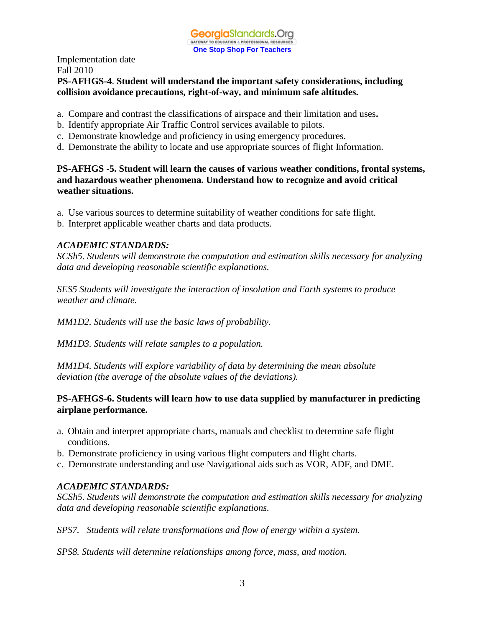## **PS-AFHGS-4**. **Student will understand the important safety considerations, including collision avoidance precautions, right-of-way, and minimum safe altitudes.**

- a. Compare and contrast the classifications of airspace and their limitation and uses**.**
- b. Identify appropriate Air Traffic Control services available to pilots.
- c. Demonstrate knowledge and proficiency in using emergency procedures.
- d. Demonstrate the ability to locate and use appropriate sources of flight Information.

**PS-AFHGS -5. Student will learn the causes of various weather conditions, frontal systems, and hazardous weather phenomena. Understand how to recognize and avoid critical weather situations.**

- a. Use various sources to determine suitability of weather conditions for safe flight.
- b. Interpret applicable weather charts and data products.

## *ACADEMIC STANDARDS:*

*SCSh5. Students will demonstrate the computation and estimation skills necessary for analyzing data and developing reasonable scientific explanations.*

*SES5 Students will investigate the interaction of insolation and Earth systems to produce weather and climate.*

*MM1D2. Students will use the basic laws of probability.*

*MM1D3. Students will relate samples to a population.* 

*MM1D4. Students will explore variability of data by determining the mean absolute deviation (the average of the absolute values of the deviations).*

## **PS-AFHGS-6. Students will learn how to use data supplied by manufacturer in predicting airplane performance.**

- a. Obtain and interpret appropriate charts, manuals and checklist to determine safe flight conditions.
- b. Demonstrate proficiency in using various flight computers and flight charts.
- c. Demonstrate understanding and use Navigational aids such as VOR, ADF, and DME.

## *ACADEMIC STANDARDS:*

*SCSh5. Students will demonstrate the computation and estimation skills necessary for analyzing data and developing reasonable scientific explanations.*

*SPS7. Students will relate transformations and flow of energy within a system.*

*SPS8. Students will determine relationships among force, mass, and motion.*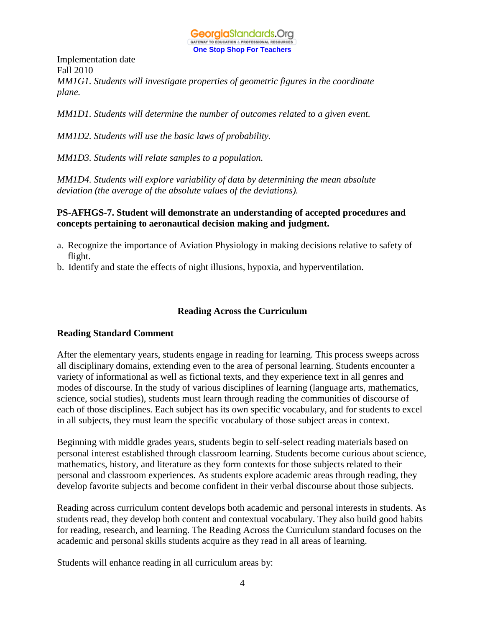

Implementation date Fall 2010 *MM1G1. Students will investigate properties of geometric figures in the coordinate plane.*

*MM1D1. Students will determine the number of outcomes related to a given event.* 

*MM1D2. Students will use the basic laws of probability.*

*MM1D3. Students will relate samples to a population.* 

*MM1D4. Students will explore variability of data by determining the mean absolute deviation (the average of the absolute values of the deviations).*

#### **PS-AFHGS-7. Student will demonstrate an understanding of accepted procedures and concepts pertaining to aeronautical decision making and judgment.**

- a. Recognize the importance of Aviation Physiology in making decisions relative to safety of flight.
- b. Identify and state the effects of night illusions, hypoxia, and hyperventilation.

#### **Reading Across the Curriculum**

#### **Reading Standard Comment**

After the elementary years, students engage in reading for learning. This process sweeps across all disciplinary domains, extending even to the area of personal learning. Students encounter a variety of informational as well as fictional texts, and they experience text in all genres and modes of discourse. In the study of various disciplines of learning (language arts, mathematics, science, social studies), students must learn through reading the communities of discourse of each of those disciplines. Each subject has its own specific vocabulary, and for students to excel in all subjects, they must learn the specific vocabulary of those subject areas in context.

Beginning with middle grades years, students begin to self-select reading materials based on personal interest established through classroom learning. Students become curious about science, mathematics, history, and literature as they form contexts for those subjects related to their personal and classroom experiences. As students explore academic areas through reading, they develop favorite subjects and become confident in their verbal discourse about those subjects.

Reading across curriculum content develops both academic and personal interests in students. As students read, they develop both content and contextual vocabulary. They also build good habits for reading, research, and learning. The Reading Across the Curriculum standard focuses on the academic and personal skills students acquire as they read in all areas of learning.

Students will enhance reading in all curriculum areas by: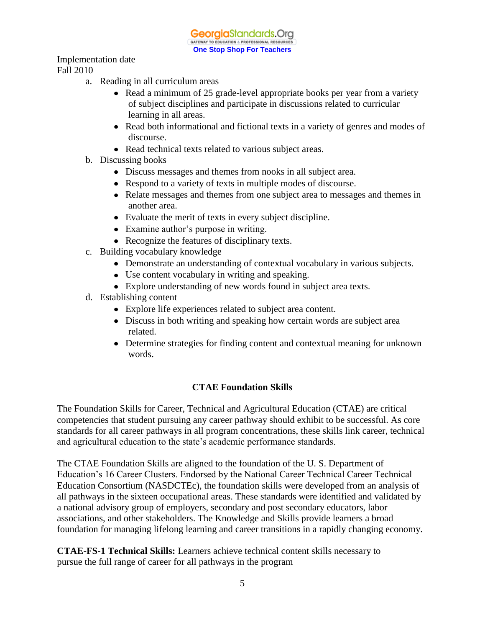GeorgiaStandards.Org GATEWAY TO EDUCATION & PROFESSIONAL RESOURCE **One Stop Shop For Teachers**

Implementation date Fall 2010

- a. Reading in all curriculum areas
	- Read a minimum of 25 grade-level appropriate books per year from a variety of subject disciplines and participate in discussions related to curricular learning in all areas.
	- Read both informational and fictional texts in a variety of genres and modes of discourse.
	- Read technical texts related to various subject areas.
- b. Discussing books
	- Discuss messages and themes from nooks in all subject area.
	- Respond to a variety of texts in multiple modes of discourse.
	- Relate messages and themes from one subject area to messages and themes in another area.
	- Evaluate the merit of texts in every subject discipline.
	- Examine author's purpose in writing.
	- Recognize the features of disciplinary texts.
- c. Building vocabulary knowledge
	- Demonstrate an understanding of contextual vocabulary in various subjects.
	- Use content vocabulary in writing and speaking.
	- Explore understanding of new words found in subject area texts.
- d. Establishing content
	- Explore life experiences related to subject area content.
	- Discuss in both writing and speaking how certain words are subject area related.
	- Determine strategies for finding content and contextual meaning for unknown words.

## **CTAE Foundation Skills**

The Foundation Skills for Career, Technical and Agricultural Education (CTAE) are critical competencies that student pursuing any career pathway should exhibit to be successful. As core standards for all career pathways in all program concentrations, these skills link career, technical and agricultural education to the state's academic performance standards.

The CTAE Foundation Skills are aligned to the foundation of the U. S. Department of Education's 16 Career Clusters. Endorsed by the National Career Technical Career Technical Education Consortium (NASDCTEc), the foundation skills were developed from an analysis of all pathways in the sixteen occupational areas. These standards were identified and validated by a national advisory group of employers, secondary and post secondary educators, labor associations, and other stakeholders. The Knowledge and Skills provide learners a broad foundation for managing lifelong learning and career transitions in a rapidly changing economy.

**CTAE-FS-1 Technical Skills:** Learners achieve technical content skills necessary to pursue the full range of career for all pathways in the program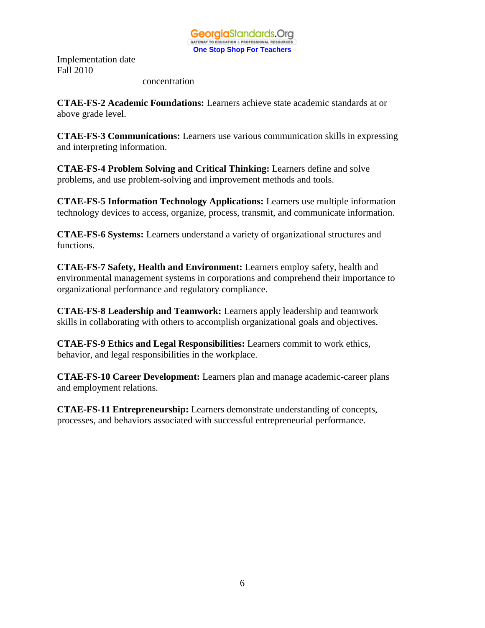#### concentration

**CTAE-FS-2 Academic Foundations:** Learners achieve state academic standards at or above grade level.

**CTAE-FS-3 Communications:** Learners use various communication skills in expressing and interpreting information.

**CTAE-FS-4 Problem Solving and Critical Thinking:** Learners define and solve problems, and use problem-solving and improvement methods and tools.

**CTAE-FS-5 Information Technology Applications:** Learners use multiple information technology devices to access, organize, process, transmit, and communicate information.

**CTAE-FS-6 Systems:** Learners understand a variety of organizational structures and functions.

**CTAE-FS-7 Safety, Health and Environment:** Learners employ safety, health and environmental management systems in corporations and comprehend their importance to organizational performance and regulatory compliance.

**CTAE-FS-8 Leadership and Teamwork:** Learners apply leadership and teamwork skills in collaborating with others to accomplish organizational goals and objectives.

**CTAE-FS-9 Ethics and Legal Responsibilities:** Learners commit to work ethics, behavior, and legal responsibilities in the workplace.

**CTAE-FS-10 Career Development:** Learners plan and manage academic-career plans and employment relations.

**CTAE-FS-11 Entrepreneurship:** Learners demonstrate understanding of concepts, processes, and behaviors associated with successful entrepreneurial performance.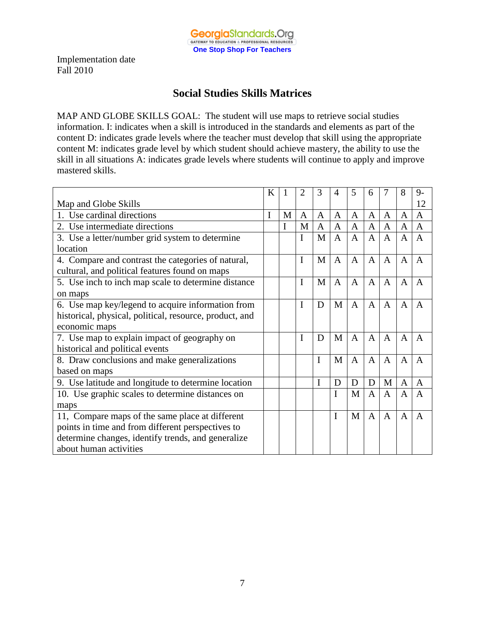

# **Social Studies Skills Matrices**

MAP AND GLOBE SKILLS GOAL: The student will use maps to retrieve social studies information. I: indicates when a skill is introduced in the standards and elements as part of the content D: indicates grade levels where the teacher must develop that skill using the appropriate content M: indicates grade level by which student should achieve mastery, the ability to use the skill in all situations A: indicates grade levels where students will continue to apply and improve mastered skills.

|                                                         | K |   | 2 | 3            | 4              | 5              | 6              |              | 8 | $9-$         |
|---------------------------------------------------------|---|---|---|--------------|----------------|----------------|----------------|--------------|---|--------------|
| Map and Globe Skills                                    |   |   |   |              |                |                |                |              |   | 12           |
| 1. Use cardinal directions                              | I | M | A | $\mathsf{A}$ | $\mathsf{A}$   | $\mathbf{A}$   | A              | A            | A | $\mathsf{A}$ |
| 2. Use intermediate directions                          |   | I | M | $\mathbf{A}$ | $\mathbf{A}$   | $\mathbf{A}$   | $\mathbf{A}$   | A            | A | $\mathbf{A}$ |
| 3. Use a letter/number grid system to determine         |   |   | I | M            | $\overline{A}$ | $\overline{A}$ | $\overline{A}$ | $\mathbf{A}$ | A | A            |
| location                                                |   |   |   |              |                |                |                |              |   |              |
| 4. Compare and contrast the categories of natural,      |   |   | I | M            | $\mathbf{A}$   | $\mathbf{A}$   | $\mathbf{A}$   | $\mathbf{A}$ | A | A            |
| cultural, and political features found on maps          |   |   |   |              |                |                |                |              |   |              |
| 5. Use inch to inch map scale to determine distance     |   |   | I | M            | $\mathbf{A}$   | $\mathsf{A}$   | $\mathsf{A}$   | $\mathsf{A}$ | A | A            |
| on maps                                                 |   |   |   |              |                |                |                |              |   |              |
| 6. Use map key/legend to acquire information from       |   |   | I | D            | M              | $\mathbf{A}$   | $\mathbf{A}$   | $\mathbf{A}$ | A | A            |
| historical, physical, political, resource, product, and |   |   |   |              |                |                |                |              |   |              |
| economic maps                                           |   |   |   |              |                |                |                |              |   |              |
| 7. Use map to explain impact of geography on            |   |   | I | D            | M              | $\overline{A}$ | $\overline{A}$ | A            | A | A            |
| historical and political events                         |   |   |   |              |                |                |                |              |   |              |
| 8. Draw conclusions and make generalizations            |   |   |   | I            | M              | $\mathbf{A}$   | $\mathbf{A}$   | $\mathbf{A}$ | A | A            |
| based on maps                                           |   |   |   |              |                |                |                |              |   |              |
| 9. Use latitude and longitude to determine location     |   |   |   | I            | D              | D              | D              | M            | A | A            |
| 10. Use graphic scales to determine distances on        |   |   |   |              | I              | M              | $\mathbf{A}$   | $\mathbf{A}$ | A | $\mathbf{A}$ |
| maps                                                    |   |   |   |              |                |                |                |              |   |              |
| 11, Compare maps of the same place at different         |   |   |   |              | I              | M              | $\mathbf{A}$   | $\mathbf{A}$ | A | A            |
| points in time and from different perspectives to       |   |   |   |              |                |                |                |              |   |              |
| determine changes, identify trends, and generalize      |   |   |   |              |                |                |                |              |   |              |
| about human activities                                  |   |   |   |              |                |                |                |              |   |              |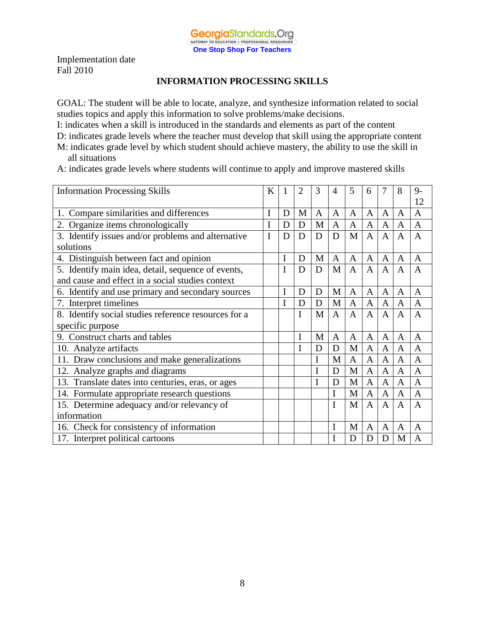## **INFORMATION PROCESSING SKILLS**

GOAL: The student will be able to locate, analyze, and synthesize information related to social studies topics and apply this information to solve problems/make decisions.

I: indicates when a skill is introduced in the standards and elements as part of the content

D: indicates grade levels where the teacher must develop that skill using the appropriate content

- M: indicates grade level by which student should achieve mastery, the ability to use the skill in all situations
- A: indicates grade levels where students will continue to apply and improve mastered skills

| <b>Information Processing Skills</b>                 | K |   | 2 | 3 | $\overline{4}$ | 5              | 6              | 7            | 8              | $9 -$          |
|------------------------------------------------------|---|---|---|---|----------------|----------------|----------------|--------------|----------------|----------------|
|                                                      |   |   |   |   |                |                |                |              |                | 12             |
| 1. Compare similarities and differences              | I | D | M | A | A              | A              | A              | A            | $\mathbf{A}$   | A              |
| 2. Organize items chronologically                    | I | D | D | M | $\mathbf{A}$   | A              | A              | $\mathbf{A}$ | $\overline{A}$ | $\mathbf{A}$   |
| 3. Identify issues and/or problems and alternative   | I | D | D | D | D              | M              | $\mathbf{A}$   | $\mathbf{A}$ | $\mathbf{A}$   | $\mathbf{A}$   |
| solutions                                            |   |   |   |   |                |                |                |              |                |                |
| 4. Distinguish between fact and opinion              |   | I | D | M | $\mathbf{A}$   | A              | A              | $\mathbf{A}$ | $\mathbf{A}$   | A              |
| 5. Identify main idea, detail, sequence of events,   |   |   | D | D | M              | $\overline{A}$ | $\overline{A}$ | A            | $\mathsf{A}$   | $\overline{A}$ |
| and cause and effect in a social studies context     |   |   |   |   |                |                |                |              |                |                |
| 6. Identify and use primary and secondary sources    |   | I | D | D | M              | $\mathbf{A}$   | $\mathbf{A}$   | $\mathbf{A}$ | $\mathbf{A}$   | A              |
| 7. Interpret timelines                               |   | I | D | D | M              | $\mathbf{A}$   | $\mathbf{A}$   | $\mathbf{A}$ | $\mathbf{A}$   | $\mathbf{A}$   |
| 8. Identify social studies reference resources for a |   |   | I | M | $\mathbf{A}$   | $\mathsf{A}$   | $\overline{A}$ | A            | $\overline{A}$ | $\overline{A}$ |
| specific purpose                                     |   |   |   |   |                |                |                |              |                |                |
| Construct charts and tables<br>9.                    |   |   | I | M | A              | $\mathbf{A}$   | $\mathbf{A}$   | $\mathbf{A}$ | $\mathbf{A}$   | A              |
| 10. Analyze artifacts                                |   |   | I | D | D              | M              | $\mathbf{A}$   | $\mathbf{A}$ | $\mathbf{A}$   | $\overline{A}$ |
| 11. Draw conclusions and make generalizations        |   |   |   | I | M              | A              | A              | A            | $\overline{A}$ | A              |
| 12. Analyze graphs and diagrams                      |   |   |   | I | D              | M              | $\mathbf{A}$   | $\mathbf{A}$ | $\overline{A}$ | $\overline{A}$ |
| 13. Translate dates into centuries, eras, or ages    |   |   |   | I | D              | M              | A              | $\mathbf{A}$ | $\mathbf{A}$   | A              |
| 14. Formulate appropriate research questions         |   |   |   |   | I              | M              | $\mathbf{A}$   | $\mathbf{A}$ | $\overline{A}$ | $\overline{A}$ |
| 15. Determine adequacy and/or relevancy of           |   |   |   |   | I              | M              | $\overline{A}$ | A            | $\overline{A}$ | $\overline{A}$ |
| information                                          |   |   |   |   |                |                |                |              |                |                |
| 16. Check for consistency of information             |   |   |   |   | I              | M              | $\mathbf{A}$   | $\mathbf{A}$ | $\mathbf{A}$   | $\overline{A}$ |
| 17. Interpret political cartoons                     |   |   |   |   |                | D              | D              | D            | M              | $\mathbf{A}$   |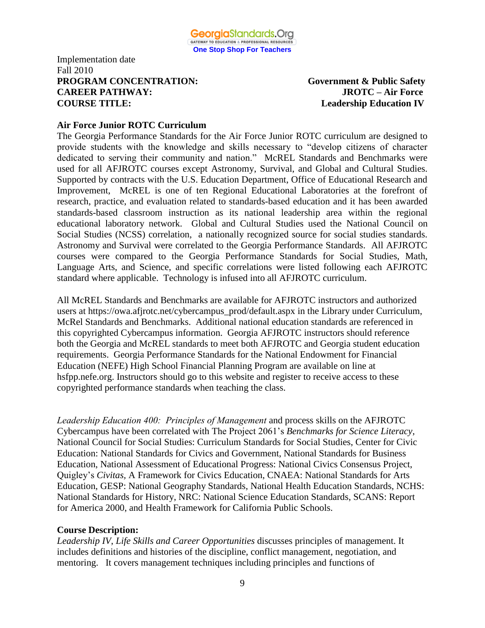## Implementation date Fall 2010 **PROGRAM CONCENTRATION: Government & Public Safety CAREER PATHWAY: JROTC – Air Force COURSE TITLE: Leadership Education IV**

## **Air Force Junior ROTC Curriculum**

The Georgia Performance Standards for the Air Force Junior ROTC curriculum are designed to provide students with the knowledge and skills necessary to "develop citizens of character dedicated to serving their community and nation." McREL Standards and Benchmarks were used for all AFJROTC courses except Astronomy, Survival, and Global and Cultural Studies. Supported by contracts with the U.S. Education Department, Office of Educational Research and Improvement, McREL is one of ten Regional Educational Laboratories at the forefront of research, practice, and evaluation related to standards-based education and it has been awarded standards-based classroom instruction as its national leadership area within the regional educational laboratory network. Global and Cultural Studies used the National Council on Social Studies (NCSS) correlation, a nationally recognized source for social studies standards. Astronomy and Survival were correlated to the Georgia Performance Standards. All AFJROTC courses were compared to the Georgia Performance Standards for Social Studies, Math, Language Arts, and Science, and specific correlations were listed following each AFJROTC standard where applicable. Technology is infused into all AFJROTC curriculum.

All McREL Standards and Benchmarks are available for AFJROTC instructors and authorized users at https://owa.afjrotc.net/cybercampus\_prod/default.aspx in the Library under Curriculum, McRel Standards and Benchmarks. Additional national education standards are referenced in this copyrighted Cybercampus information. Georgia AFJROTC instructors should reference both the Georgia and McREL standards to meet both AFJROTC and Georgia student education requirements. Georgia Performance Standards for the National Endowment for Financial Education (NEFE) High School Financial Planning Program are available on line at hsfpp.nefe.org. Instructors should go to this website and register to receive access to these copyrighted performance standards when teaching the class.

*Leadership Education 400: Principles of Management* and process skills on the AFJROTC Cybercampus have been correlated with The Project 2061's *Benchmarks for Science Literacy*, National Council for Social Studies: Curriculum Standards for Social Studies, Center for Civic Education: National Standards for Civics and Government, National Standards for Business Education, National Assessment of Educational Progress: National Civics Consensus Project, Quigley's *Civitas,* A Framework for Civics Education, CNAEA: National Standards for Arts Education, GESP: National Geography Standards, National Health Education Standards, NCHS: National Standards for History, NRC: National Science Education Standards, SCANS: Report for America 2000, and Health Framework for California Public Schools.

#### **Course Description:**

*Leadership IV*, *Life Skills and Career Opportunities* discusses principles of management. It includes definitions and histories of the discipline, conflict management, negotiation, and mentoring. It covers management techniques including principles and functions of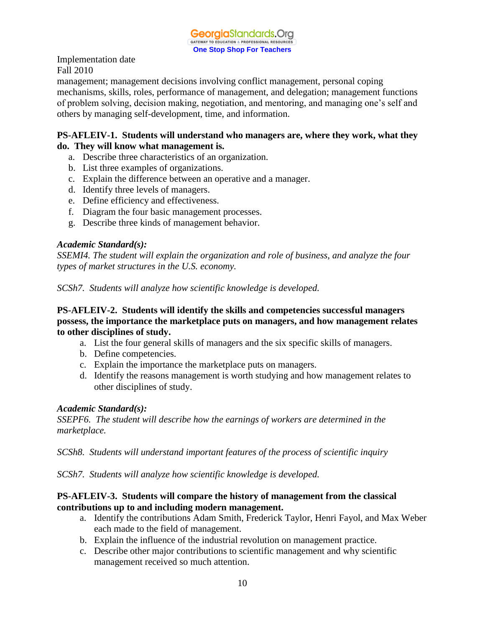management; management decisions involving conflict management, personal coping mechanisms, skills, roles, performance of management, and delegation; management functions of problem solving, decision making, negotiation, and mentoring, and managing one's self and others by managing self-development, time, and information.

## **PS-AFLEIV-1. Students will understand who managers are, where they work, what they do. They will know what management is.**

- a. Describe three characteristics of an organization.
- b. List three examples of organizations.
- c. Explain the difference between an operative and a manager.
- d. Identify three levels of managers.
- e. Define efficiency and effectiveness.
- f. Diagram the four basic management processes.
- g. Describe three kinds of management behavior.

#### *Academic Standard(s):*

*SSEMI4. The student will explain the organization and role of business, and analyze the four types of market structures in the U.S. economy.*

*SCSh7. Students will analyze how scientific knowledge is developed.*

## **PS-AFLEIV-2. Students will identify the skills and competencies successful managers possess, the importance the marketplace puts on managers, and how management relates to other disciplines of study.**

- a. List the four general skills of managers and the six specific skills of managers.
- b. Define competencies.
- c. Explain the importance the marketplace puts on managers.
- d. Identify the reasons management is worth studying and how management relates to other disciplines of study.

#### *Academic Standard(s):*

*SSEPF6. The student will describe how the earnings of workers are determined in the marketplace.*

*SCSh8. Students will understand important features of the process of scientific inquiry*

*SCSh7. Students will analyze how scientific knowledge is developed.*

#### **PS-AFLEIV-3. Students will compare the history of management from the classical contributions up to and including modern management.**

- a. Identify the contributions Adam Smith, Frederick Taylor, Henri Fayol, and Max Weber each made to the field of management.
- b. Explain the influence of the industrial revolution on management practice.
- c. Describe other major contributions to scientific management and why scientific management received so much attention.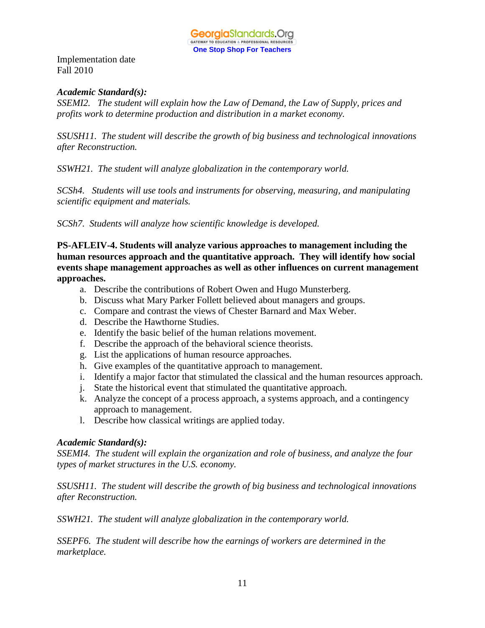

## *Academic Standard(s):*

*SSEMI2. The student will explain how the Law of Demand, the Law of Supply, prices and profits work to determine production and distribution in a market economy.*

*SSUSH11. The student will describe the growth of big business and technological innovations after Reconstruction.*

*SSWH21. The student will analyze globalization in the contemporary world.*

*SCSh4. Students will use tools and instruments for observing, measuring, and manipulating scientific equipment and materials.*

*SCSh7. Students will analyze how scientific knowledge is developed.*

**PS-AFLEIV-4. Students will analyze various approaches to management including the human resources approach and the quantitative approach. They will identify how social events shape management approaches as well as other influences on current management approaches.** 

- a. Describe the contributions of Robert Owen and Hugo Munsterberg.
- b. Discuss what Mary Parker Follett believed about managers and groups.
- c. Compare and contrast the views of Chester Barnard and Max Weber.
- d. Describe the Hawthorne Studies.
- e. Identify the basic belief of the human relations movement.
- f. Describe the approach of the behavioral science theorists.
- g. List the applications of human resource approaches.
- h. Give examples of the quantitative approach to management.
- i. Identify a major factor that stimulated the classical and the human resources approach.
- j. State the historical event that stimulated the quantitative approach.
- k. Analyze the concept of a process approach, a systems approach, and a contingency approach to management.
- l. Describe how classical writings are applied today.

#### *Academic Standard(s):*

*SSEMI4. The student will explain the organization and role of business, and analyze the four types of market structures in the U.S. economy.*

*SSUSH11. The student will describe the growth of big business and technological innovations after Reconstruction.*

*SSWH21. The student will analyze globalization in the contemporary world.*

*SSEPF6. The student will describe how the earnings of workers are determined in the marketplace.*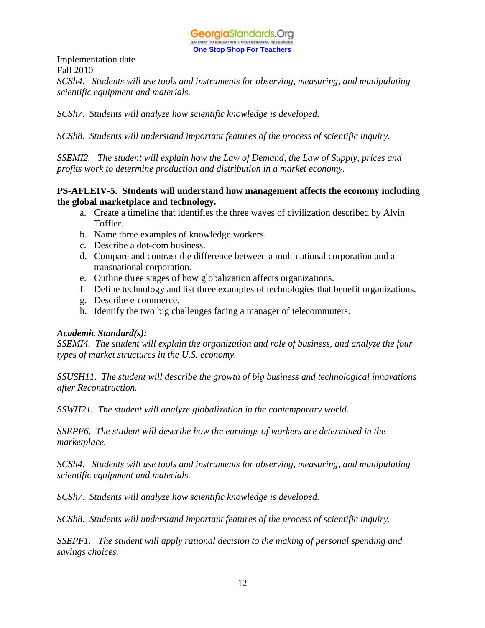*SCSh4. Students will use tools and instruments for observing, measuring, and manipulating scientific equipment and materials.*

*SCSh7. Students will analyze how scientific knowledge is developed.*

*SCSh8. Students will understand important features of the process of scientific inquiry.*

*SSEMI2. The student will explain how the Law of Demand, the Law of Supply, prices and profits work to determine production and distribution in a market economy.*

## **PS-AFLEIV-5. Students will understand how management affects the economy including the global marketplace and technology.**

- a. Create a timeline that identifies the three waves of civilization described by Alvin Toffler.
- b. Name three examples of knowledge workers.
- c. Describe a dot-com business.
- d. Compare and contrast the difference between a multinational corporation and a transnational corporation.
- e. Outline three stages of how globalization affects organizations.
- f. Define technology and list three examples of technologies that benefit organizations.
- g. Describe e-commerce.
- h. Identify the two big challenges facing a manager of telecommuters.

#### *Academic Standard(s):*

*SSEMI4. The student will explain the organization and role of business, and analyze the four types of market structures in the U.S. economy.*

*SSUSH11. The student will describe the growth of big business and technological innovations after Reconstruction.*

*SSWH21. The student will analyze globalization in the contemporary world.*

*SSEPF6. The student will describe how the earnings of workers are determined in the marketplace.*

*SCSh4. Students will use tools and instruments for observing, measuring, and manipulating scientific equipment and materials.*

*SCSh7. Students will analyze how scientific knowledge is developed.*

*SCSh8. Students will understand important features of the process of scientific inquiry.*

*SSEPF1. The student will apply rational decision to the making of personal spending and savings choices.*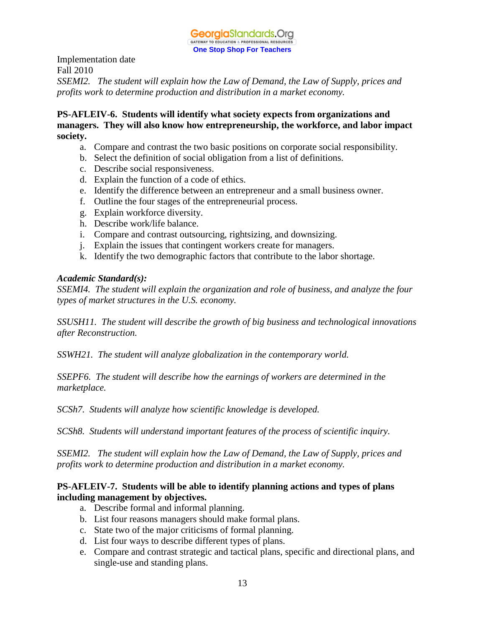*SSEMI2. The student will explain how the Law of Demand, the Law of Supply, prices and profits work to determine production and distribution in a market economy.*

## **PS-AFLEIV-6. Students will identify what society expects from organizations and managers. They will also know how entrepreneurship, the workforce, and labor impact society.**

- a. Compare and contrast the two basic positions on corporate social responsibility.
- b. Select the definition of social obligation from a list of definitions.
- c. Describe social responsiveness.
- d. Explain the function of a code of ethics.
- e. Identify the difference between an entrepreneur and a small business owner.
- f. Outline the four stages of the entrepreneurial process.
- g. Explain workforce diversity.
- h. Describe work/life balance.
- i. Compare and contrast outsourcing, rightsizing, and downsizing.
- j. Explain the issues that contingent workers create for managers.
- k. Identify the two demographic factors that contribute to the labor shortage.

#### *Academic Standard(s):*

*SSEMI4. The student will explain the organization and role of business, and analyze the four types of market structures in the U.S. economy.*

*SSUSH11. The student will describe the growth of big business and technological innovations after Reconstruction.*

*SSWH21. The student will analyze globalization in the contemporary world.*

*SSEPF6. The student will describe how the earnings of workers are determined in the marketplace.*

*SCSh7. Students will analyze how scientific knowledge is developed.*

*SCSh8. Students will understand important features of the process of scientific inquiry.*

*SSEMI2. The student will explain how the Law of Demand, the Law of Supply, prices and profits work to determine production and distribution in a market economy.*

## **PS-AFLEIV-7. Students will be able to identify planning actions and types of plans including management by objectives.**

- a. Describe formal and informal planning.
- b. List four reasons managers should make formal plans.
- c. State two of the major criticisms of formal planning.
- d. List four ways to describe different types of plans.
- e. Compare and contrast strategic and tactical plans, specific and directional plans, and single-use and standing plans.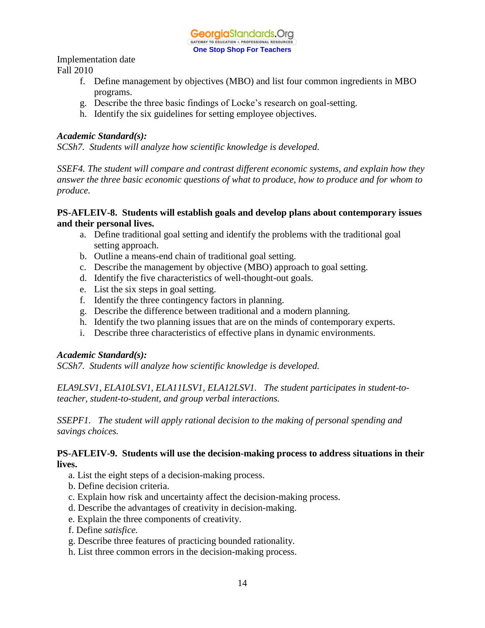Implementation date

Fall 2010

- f. Define management by objectives (MBO) and list four common ingredients in MBO programs.
- g. Describe the three basic findings of Locke's research on goal-setting.
- h. Identify the six guidelines for setting employee objectives.

## *Academic Standard(s):*

*SCSh7. Students will analyze how scientific knowledge is developed.*

*SSEF4. The student will compare and contrast different economic systems, and explain how they answer the three basic economic questions of what to produce, how to produce and for whom to produce.*

## **PS-AFLEIV-8. Students will establish goals and develop plans about contemporary issues and their personal lives.**

- a. Define traditional goal setting and identify the problems with the traditional goal setting approach.
- b. Outline a means-end chain of traditional goal setting.
- c. Describe the management by objective (MBO) approach to goal setting.
- d. Identify the five characteristics of well-thought-out goals.
- e. List the six steps in goal setting.
- f. Identify the three contingency factors in planning.
- g. Describe the difference between traditional and a modern planning.
- h. Identify the two planning issues that are on the minds of contemporary experts.
- i. Describe three characteristics of effective plans in dynamic environments.

#### *Academic Standard(s):*

*SCSh7. Students will analyze how scientific knowledge is developed.*

*ELA9LSV1, ELA10LSV1, ELA11LSV1, ELA12LSV1. The student participates in student-toteacher, student-to-student, and group verbal interactions.* 

*SSEPF1. The student will apply rational decision to the making of personal spending and savings choices.*

#### **PS-AFLEIV-9. Students will use the decision-making process to address situations in their lives.**

- a. List the eight steps of a decision-making process.
- b. Define decision criteria.
- c. Explain how risk and uncertainty affect the decision-making process.
- d. Describe the advantages of creativity in decision-making.
- e. Explain the three components of creativity.
- f. Define *satisfice.*
- g. Describe three features of practicing bounded rationality.
- h. List three common errors in the decision-making process.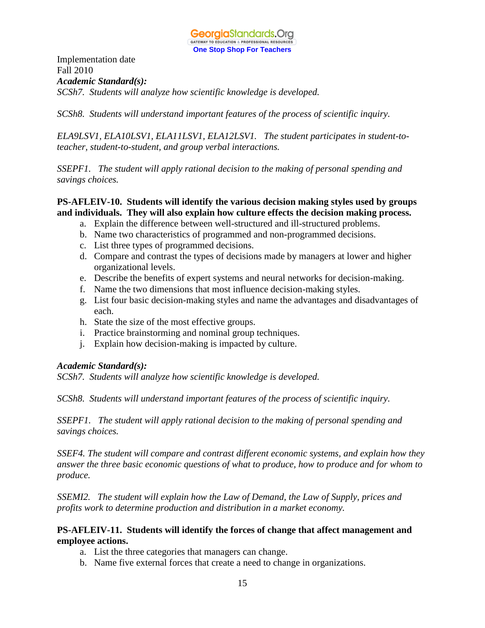Implementation date Fall 2010 *Academic Standard(s): SCSh7. Students will analyze how scientific knowledge is developed.*

*SCSh8. Students will understand important features of the process of scientific inquiry.*

*ELA9LSV1, ELA10LSV1, ELA11LSV1, ELA12LSV1. The student participates in student-toteacher, student-to-student, and group verbal interactions.* 

*SSEPF1. The student will apply rational decision to the making of personal spending and savings choices.*

## **PS-AFLEIV-10. Students will identify the various decision making styles used by groups and individuals. They will also explain how culture effects the decision making process.**

- a. Explain the difference between well-structured and ill-structured problems.
- b. Name two characteristics of programmed and non-programmed decisions.
- c. List three types of programmed decisions.
- d. Compare and contrast the types of decisions made by managers at lower and higher organizational levels.
- e. Describe the benefits of expert systems and neural networks for decision-making.
- f. Name the two dimensions that most influence decision-making styles.
- g. List four basic decision-making styles and name the advantages and disadvantages of each.
- h. State the size of the most effective groups.
- i. Practice brainstorming and nominal group techniques.
- j. Explain how decision-making is impacted by culture.

#### *Academic Standard(s):*

*SCSh7. Students will analyze how scientific knowledge is developed.*

*SCSh8. Students will understand important features of the process of scientific inquiry.*

*SSEPF1. The student will apply rational decision to the making of personal spending and savings choices.*

*SSEF4. The student will compare and contrast different economic systems, and explain how they answer the three basic economic questions of what to produce, how to produce and for whom to produce.*

*SSEMI2. The student will explain how the Law of Demand, the Law of Supply, prices and profits work to determine production and distribution in a market economy.*

#### **PS-AFLEIV-11. Students will identify the forces of change that affect management and employee actions.**

- a. List the three categories that managers can change.
- b. Name five external forces that create a need to change in organizations.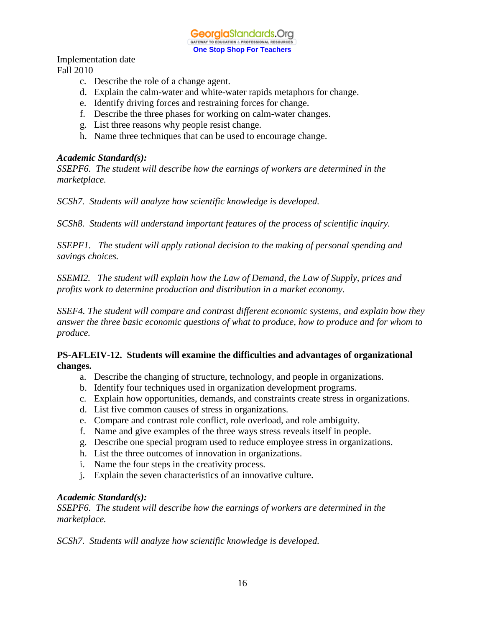GeorgiaStandards.Org **GATEWAY TO EDUCATION & PROFESSIONAL RESOURC One Stop Shop For Teachers**

Implementation date Fall 2010

- c. Describe the role of a change agent.
- d. Explain the calm-water and white-water rapids metaphors for change.
- e. Identify driving forces and restraining forces for change.
- f. Describe the three phases for working on calm-water changes.
- g. List three reasons why people resist change.
- h. Name three techniques that can be used to encourage change.

#### *Academic Standard(s):*

*SSEPF6. The student will describe how the earnings of workers are determined in the marketplace.*

*SCSh7. Students will analyze how scientific knowledge is developed.*

*SCSh8. Students will understand important features of the process of scientific inquiry.*

*SSEPF1. The student will apply rational decision to the making of personal spending and savings choices.*

*SSEMI2. The student will explain how the Law of Demand, the Law of Supply, prices and profits work to determine production and distribution in a market economy.*

*SSEF4. The student will compare and contrast different economic systems, and explain how they answer the three basic economic questions of what to produce, how to produce and for whom to produce.*

#### **PS-AFLEIV-12. Students will examine the difficulties and advantages of organizational changes.**

- a. Describe the changing of structure, technology, and people in organizations.
- b. Identify four techniques used in organization development programs.
- c. Explain how opportunities, demands, and constraints create stress in organizations.
- d. List five common causes of stress in organizations.
- e. Compare and contrast role conflict, role overload, and role ambiguity.
- f. Name and give examples of the three ways stress reveals itself in people.
- g. Describe one special program used to reduce employee stress in organizations.
- h. List the three outcomes of innovation in organizations.
- i. Name the four steps in the creativity process.
- j. Explain the seven characteristics of an innovative culture.

#### *Academic Standard(s):*

*SSEPF6. The student will describe how the earnings of workers are determined in the marketplace.*

*SCSh7. Students will analyze how scientific knowledge is developed.*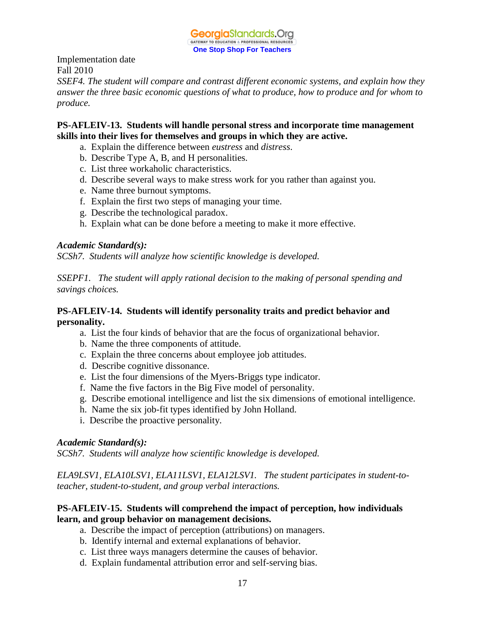

*SSEF4. The student will compare and contrast different economic systems, and explain how they answer the three basic economic questions of what to produce, how to produce and for whom to produce.*

## **PS-AFLEIV-13. Students will handle personal stress and incorporate time management skills into their lives for themselves and groups in which they are active.**

- a. Explain the difference between *eustress* and *distress*.
- b. Describe Type A, B, and H personalities.
- c. List three workaholic characteristics.
- d. Describe several ways to make stress work for you rather than against you.
- e. Name three burnout symptoms.
- f. Explain the first two steps of managing your time.
- g. Describe the technological paradox.
- h. Explain what can be done before a meeting to make it more effective.

#### *Academic Standard(s):*

*SCSh7. Students will analyze how scientific knowledge is developed.*

*SSEPF1. The student will apply rational decision to the making of personal spending and savings choices.*

## **PS-AFLEIV-14. Students will identify personality traits and predict behavior and personality.**

- a. List the four kinds of behavior that are the focus of organizational behavior.
- b. Name the three components of attitude.
- c. Explain the three concerns about employee job attitudes.
- d. Describe cognitive dissonance.
- e. List the four dimensions of the Myers-Briggs type indicator.
- f. Name the five factors in the Big Five model of personality.
- g. Describe emotional intelligence and list the six dimensions of emotional intelligence.
- h. Name the six job-fit types identified by John Holland.
- i. Describe the proactive personality.

#### *Academic Standard(s):*

*SCSh7. Students will analyze how scientific knowledge is developed.*

*ELA9LSV1, ELA10LSV1, ELA11LSV1, ELA12LSV1. The student participates in student-toteacher, student-to-student, and group verbal interactions.* 

## **PS-AFLEIV-15. Students will comprehend the impact of perception, how individuals learn, and group behavior on management decisions.**

- a. Describe the impact of perception (attributions) on managers.
- b. Identify internal and external explanations of behavior.
- c. List three ways managers determine the causes of behavior.
- d. Explain fundamental attribution error and self-serving bias.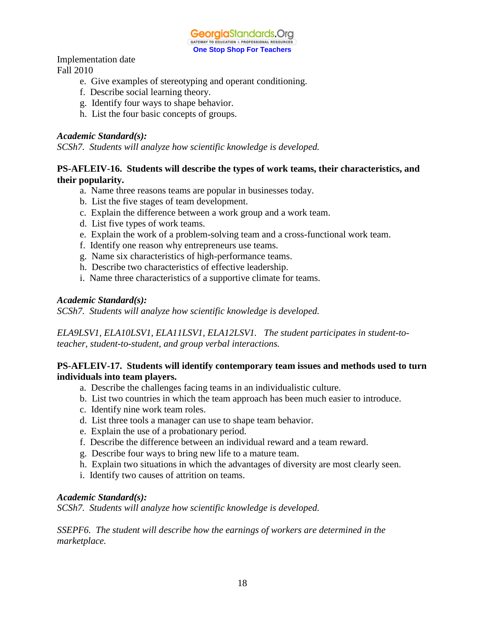GeorgiaStandards.Org GATEWAY TO EDUCATION & PROFESSIONAL RESOURCE **One Stop Shop For Teachers**

Implementation date Fall 2010

- e. Give examples of stereotyping and operant conditioning.
- f. Describe social learning theory.
- g. Identify four ways to shape behavior.
- h. List the four basic concepts of groups.

#### *Academic Standard(s):*

*SCSh7. Students will analyze how scientific knowledge is developed.*

## **PS-AFLEIV-16. Students will describe the types of work teams, their characteristics, and their popularity.**

- a. Name three reasons teams are popular in businesses today.
- b. List the five stages of team development.
- c. Explain the difference between a work group and a work team.
- d. List five types of work teams.
- e. Explain the work of a problem-solving team and a cross-functional work team.
- f. Identify one reason why entrepreneurs use teams.
- g. Name six characteristics of high-performance teams.
- h. Describe two characteristics of effective leadership.
- i. Name three characteristics of a supportive climate for teams.

#### *Academic Standard(s):*

*SCSh7. Students will analyze how scientific knowledge is developed.*

*ELA9LSV1, ELA10LSV1, ELA11LSV1, ELA12LSV1. The student participates in student-toteacher, student-to-student, and group verbal interactions.* 

## **PS-AFLEIV-17. Students will identify contemporary team issues and methods used to turn individuals into team players.**

- a. Describe the challenges facing teams in an individualistic culture.
- b. List two countries in which the team approach has been much easier to introduce.
- c. Identify nine work team roles.
- d. List three tools a manager can use to shape team behavior.
- e. Explain the use of a probationary period.
- f. Describe the difference between an individual reward and a team reward.
- g. Describe four ways to bring new life to a mature team.
- h. Explain two situations in which the advantages of diversity are most clearly seen.
- i. Identify two causes of attrition on teams.

#### *Academic Standard(s):*

*SCSh7. Students will analyze how scientific knowledge is developed.*

*SSEPF6. The student will describe how the earnings of workers are determined in the marketplace.*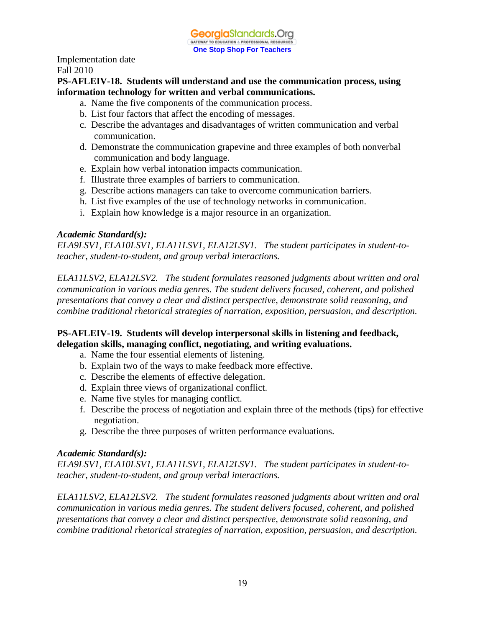**PS-AFLEIV-18. Students will understand and use the communication process, using information technology for written and verbal communications.**

- a. Name the five components of the communication process.
- b. List four factors that affect the encoding of messages.
- c. Describe the advantages and disadvantages of written communication and verbal communication.
- d. Demonstrate the communication grapevine and three examples of both nonverbal communication and body language.
- e. Explain how verbal intonation impacts communication.
- f. Illustrate three examples of barriers to communication.
- g. Describe actions managers can take to overcome communication barriers.
- h. List five examples of the use of technology networks in communication.
- i. Explain how knowledge is a major resource in an organization.

## *Academic Standard(s):*

*ELA9LSV1, ELA10LSV1, ELA11LSV1, ELA12LSV1. The student participates in student-toteacher, student-to-student, and group verbal interactions.* 

*ELA11LSV2, ELA12LSV2. The student formulates reasoned judgments about written and oral communication in various media genres. The student delivers focused, coherent, and polished presentations that convey a clear and distinct perspective, demonstrate solid reasoning, and combine traditional rhetorical strategies of narration, exposition, persuasion, and description.*

## **PS-AFLEIV-19. Students will develop interpersonal skills in listening and feedback, delegation skills, managing conflict, negotiating, and writing evaluations.**

- a. Name the four essential elements of listening.
- b. Explain two of the ways to make feedback more effective.
- c. Describe the elements of effective delegation.
- d. Explain three views of organizational conflict.
- e. Name five styles for managing conflict.
- f. Describe the process of negotiation and explain three of the methods (tips) for effective negotiation.
- g. Describe the three purposes of written performance evaluations.

#### *Academic Standard(s):*

*ELA9LSV1, ELA10LSV1, ELA11LSV1, ELA12LSV1. The student participates in student-toteacher, student-to-student, and group verbal interactions.* 

*ELA11LSV2, ELA12LSV2. The student formulates reasoned judgments about written and oral communication in various media genres. The student delivers focused, coherent, and polished presentations that convey a clear and distinct perspective, demonstrate solid reasoning, and combine traditional rhetorical strategies of narration, exposition, persuasion, and description.*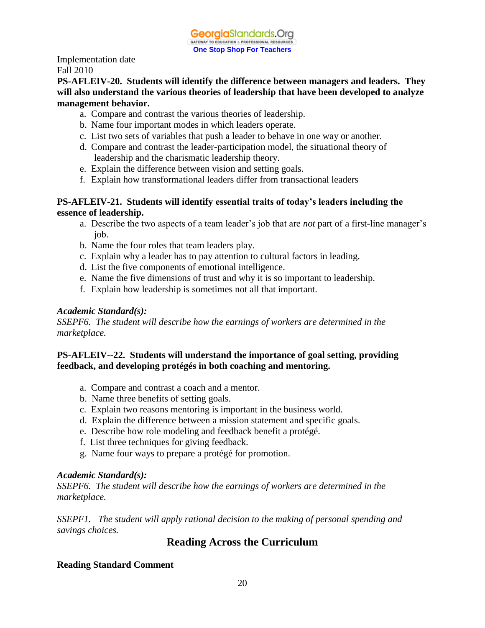## **PS-AFLEIV-20. Students will identify the difference between managers and leaders. They will also understand the various theories of leadership that have been developed to analyze management behavior.**

- a. Compare and contrast the various theories of leadership.
- b. Name four important modes in which leaders operate.
- c. List two sets of variables that push a leader to behave in one way or another.
- d. Compare and contrast the leader-participation model, the situational theory of leadership and the charismatic leadership theory.
- e. Explain the difference between vision and setting goals.
- f. Explain how transformational leaders differ from transactional leaders

## **PS-AFLEIV-21. Students will identify essential traits of today's leaders including the essence of leadership.**

- a. Describe the two aspects of a team leader's job that are *not* part of a first-line manager's job.
- b. Name the four roles that team leaders play.
- c. Explain why a leader has to pay attention to cultural factors in leading.
- d. List the five components of emotional intelligence.
- e. Name the five dimensions of trust and why it is so important to leadership.
- f. Explain how leadership is sometimes not all that important.

## *Academic Standard(s):*

*SSEPF6. The student will describe how the earnings of workers are determined in the marketplace.*

## **PS-AFLEIV--22. Students will understand the importance of goal setting, providing feedback, and developing protégés in both coaching and mentoring.**

- a. Compare and contrast a coach and a mentor.
- b. Name three benefits of setting goals.
- c. Explain two reasons mentoring is important in the business world.
- d. Explain the difference between a mission statement and specific goals.
- e. Describe how role modeling and feedback benefit a protégé.
- f. List three techniques for giving feedback.
- g. Name four ways to prepare a protégé for promotion.

#### *Academic Standard(s):*

*SSEPF6. The student will describe how the earnings of workers are determined in the marketplace.*

*SSEPF1. The student will apply rational decision to the making of personal spending and savings choices.*

# **Reading Across the Curriculum**

## **Reading Standard Comment**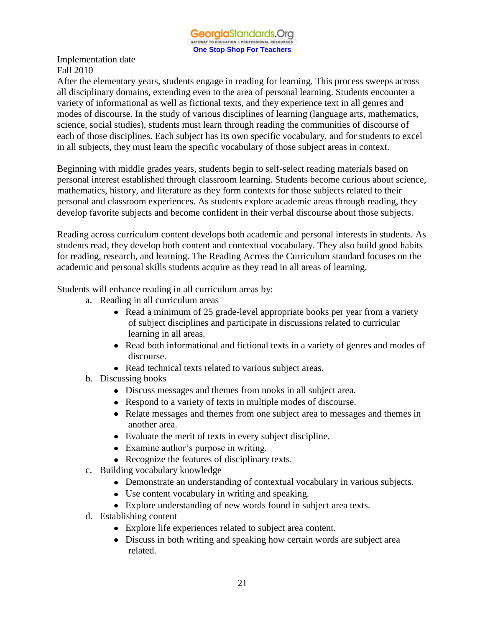After the elementary years, students engage in reading for learning. This process sweeps across all disciplinary domains, extending even to the area of personal learning. Students encounter a variety of informational as well as fictional texts, and they experience text in all genres and modes of discourse. In the study of various disciplines of learning (language arts, mathematics, science, social studies), students must learn through reading the communities of discourse of each of those disciplines. Each subject has its own specific vocabulary, and for students to excel in all subjects, they must learn the specific vocabulary of those subject areas in context.

Beginning with middle grades years, students begin to self-select reading materials based on personal interest established through classroom learning. Students become curious about science, mathematics, history, and literature as they form contexts for those subjects related to their personal and classroom experiences. As students explore academic areas through reading, they develop favorite subjects and become confident in their verbal discourse about those subjects.

Reading across curriculum content develops both academic and personal interests in students. As students read, they develop both content and contextual vocabulary. They also build good habits for reading, research, and learning. The Reading Across the Curriculum standard focuses on the academic and personal skills students acquire as they read in all areas of learning.

Students will enhance reading in all curriculum areas by:

- a. Reading in all curriculum areas
	- Read a minimum of 25 grade-level appropriate books per year from a variety of subject disciplines and participate in discussions related to curricular learning in all areas.
	- Read both informational and fictional texts in a variety of genres and modes of discourse.
	- Read technical texts related to various subject areas.
- b. Discussing books
	- Discuss messages and themes from nooks in all subject area.
	- Respond to a variety of texts in multiple modes of discourse.
	- Relate messages and themes from one subject area to messages and themes in another area.
	- Evaluate the merit of texts in every subject discipline.
	- Examine author's purpose in writing.
	- Recognize the features of disciplinary texts.
- c. Building vocabulary knowledge
	- Demonstrate an understanding of contextual vocabulary in various subjects.
	- Use content vocabulary in writing and speaking.
	- Explore understanding of new words found in subject area texts.
- d. Establishing content
	- Explore life experiences related to subject area content.
	- Discuss in both writing and speaking how certain words are subject area related.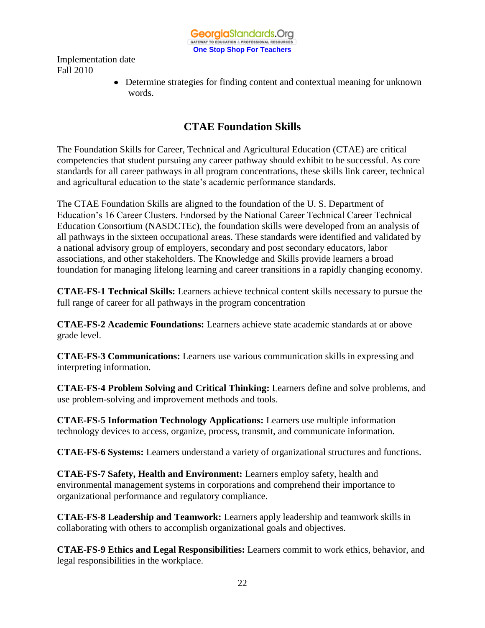GeorgiaStandards.Org GATEWAY TO EDUCATION & PROFESSIONAL RESOURCE **One Stop Shop For Teachers**

Implementation date Fall 2010

> Determine strategies for finding content and contextual meaning for unknown words.

# **CTAE Foundation Skills**

The Foundation Skills for Career, Technical and Agricultural Education (CTAE) are critical competencies that student pursuing any career pathway should exhibit to be successful. As core standards for all career pathways in all program concentrations, these skills link career, technical and agricultural education to the state's academic performance standards.

The CTAE Foundation Skills are aligned to the foundation of the U. S. Department of Education's 16 Career Clusters. Endorsed by the National Career Technical Career Technical Education Consortium (NASDCTEc), the foundation skills were developed from an analysis of all pathways in the sixteen occupational areas. These standards were identified and validated by a national advisory group of employers, secondary and post secondary educators, labor associations, and other stakeholders. The Knowledge and Skills provide learners a broad foundation for managing lifelong learning and career transitions in a rapidly changing economy.

**CTAE-FS-1 Technical Skills:** Learners achieve technical content skills necessary to pursue the full range of career for all pathways in the program concentration

**CTAE-FS-2 Academic Foundations:** Learners achieve state academic standards at or above grade level.

**CTAE-FS-3 Communications:** Learners use various communication skills in expressing and interpreting information.

**CTAE-FS-4 Problem Solving and Critical Thinking:** Learners define and solve problems, and use problem-solving and improvement methods and tools.

**CTAE-FS-5 Information Technology Applications:** Learners use multiple information technology devices to access, organize, process, transmit, and communicate information.

**CTAE-FS-6 Systems:** Learners understand a variety of organizational structures and functions.

**CTAE-FS-7 Safety, Health and Environment:** Learners employ safety, health and environmental management systems in corporations and comprehend their importance to organizational performance and regulatory compliance.

**CTAE-FS-8 Leadership and Teamwork:** Learners apply leadership and teamwork skills in collaborating with others to accomplish organizational goals and objectives.

**CTAE-FS-9 Ethics and Legal Responsibilities:** Learners commit to work ethics, behavior, and legal responsibilities in the workplace.